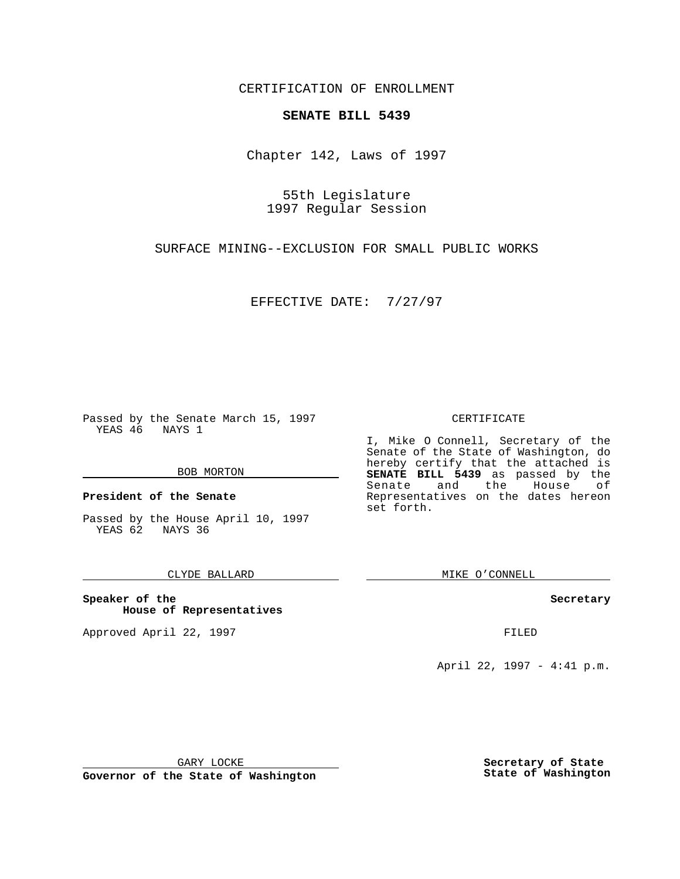CERTIFICATION OF ENROLLMENT

# **SENATE BILL 5439**

Chapter 142, Laws of 1997

55th Legislature 1997 Regular Session

SURFACE MINING--EXCLUSION FOR SMALL PUBLIC WORKS

EFFECTIVE DATE: 7/27/97

Passed by the Senate March 15, 1997 YEAS 46 NAYS 1

#### BOB MORTON

**President of the Senate**

Passed by the House April 10, 1997 YEAS 62 NAYS 36

### CLYDE BALLARD

**Speaker of the House of Representatives**

Approved April 22, 1997 **FILED** 

#### CERTIFICATE

I, Mike O Connell, Secretary of the Senate of the State of Washington, do hereby certify that the attached is **SENATE BILL 5439** as passed by the Senate and the House of Representatives on the dates hereon set forth.

MIKE O'CONNELL

#### **Secretary**

April 22, 1997 - 4:41 p.m.

GARY LOCKE

**Governor of the State of Washington**

**Secretary of State State of Washington**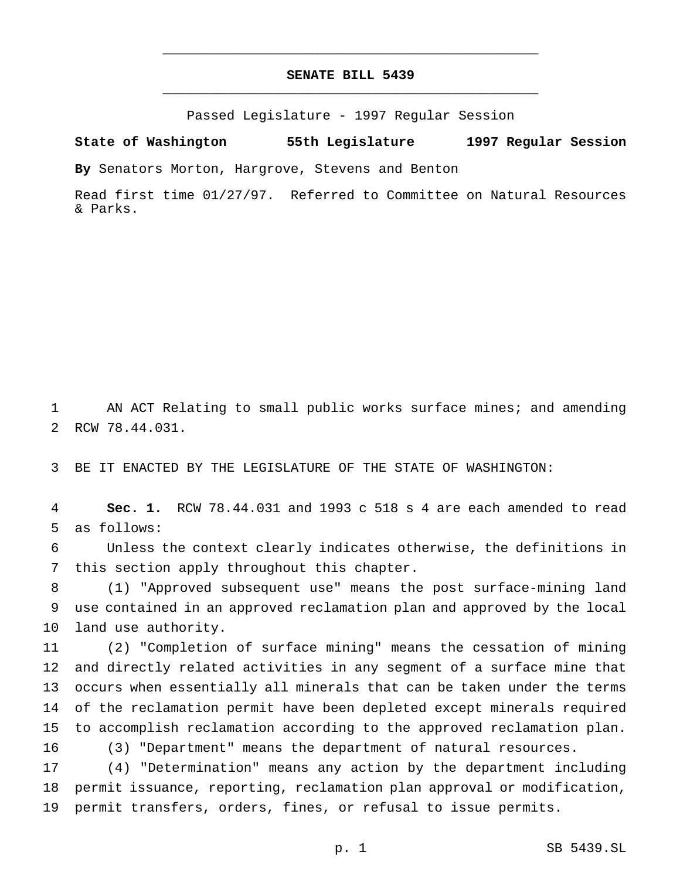## **SENATE BILL 5439** \_\_\_\_\_\_\_\_\_\_\_\_\_\_\_\_\_\_\_\_\_\_\_\_\_\_\_\_\_\_\_\_\_\_\_\_\_\_\_\_\_\_\_\_\_\_\_

\_\_\_\_\_\_\_\_\_\_\_\_\_\_\_\_\_\_\_\_\_\_\_\_\_\_\_\_\_\_\_\_\_\_\_\_\_\_\_\_\_\_\_\_\_\_\_

Passed Legislature - 1997 Regular Session

**State of Washington 55th Legislature 1997 Regular Session**

**By** Senators Morton, Hargrove, Stevens and Benton

Read first time 01/27/97. Referred to Committee on Natural Resources & Parks.

 AN ACT Relating to small public works surface mines; and amending RCW 78.44.031.

BE IT ENACTED BY THE LEGISLATURE OF THE STATE OF WASHINGTON:

 **Sec. 1.** RCW 78.44.031 and 1993 c 518 s 4 are each amended to read as follows:

 Unless the context clearly indicates otherwise, the definitions in this section apply throughout this chapter.

 (1) "Approved subsequent use" means the post surface-mining land use contained in an approved reclamation plan and approved by the local land use authority.

 (2) "Completion of surface mining" means the cessation of mining and directly related activities in any segment of a surface mine that occurs when essentially all minerals that can be taken under the terms of the reclamation permit have been depleted except minerals required to accomplish reclamation according to the approved reclamation plan.

(3) "Department" means the department of natural resources.

 (4) "Determination" means any action by the department including permit issuance, reporting, reclamation plan approval or modification, permit transfers, orders, fines, or refusal to issue permits.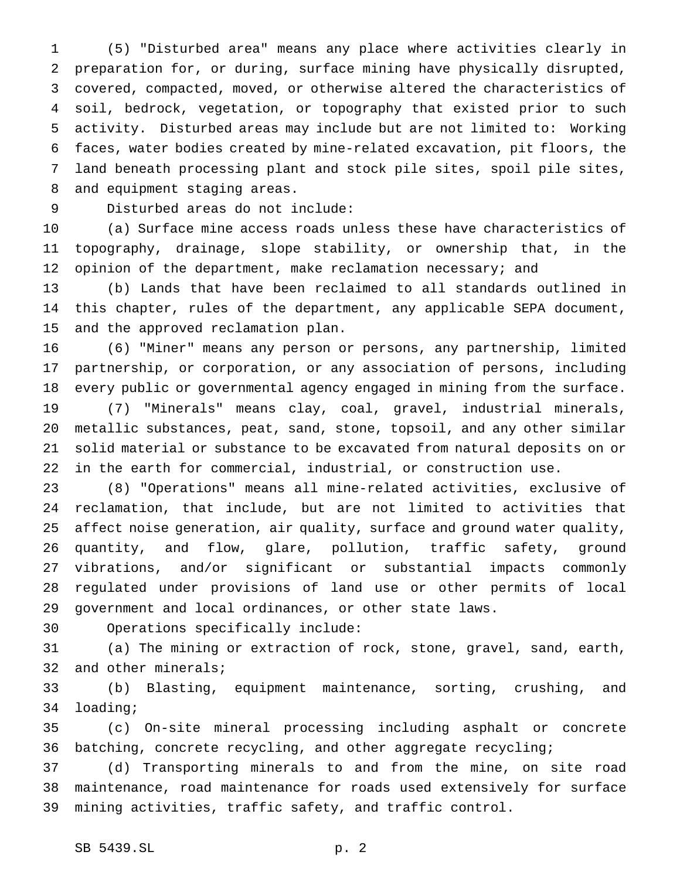(5) "Disturbed area" means any place where activities clearly in preparation for, or during, surface mining have physically disrupted, covered, compacted, moved, or otherwise altered the characteristics of soil, bedrock, vegetation, or topography that existed prior to such activity. Disturbed areas may include but are not limited to: Working faces, water bodies created by mine-related excavation, pit floors, the land beneath processing plant and stock pile sites, spoil pile sites, and equipment staging areas.

Disturbed areas do not include:

 (a) Surface mine access roads unless these have characteristics of topography, drainage, slope stability, or ownership that, in the 12 opinion of the department, make reclamation necessary; and

 (b) Lands that have been reclaimed to all standards outlined in this chapter, rules of the department, any applicable SEPA document, and the approved reclamation plan.

 (6) "Miner" means any person or persons, any partnership, limited partnership, or corporation, or any association of persons, including every public or governmental agency engaged in mining from the surface.

 (7) "Minerals" means clay, coal, gravel, industrial minerals, metallic substances, peat, sand, stone, topsoil, and any other similar solid material or substance to be excavated from natural deposits on or in the earth for commercial, industrial, or construction use.

 (8) "Operations" means all mine-related activities, exclusive of reclamation, that include, but are not limited to activities that affect noise generation, air quality, surface and ground water quality, quantity, and flow, glare, pollution, traffic safety, ground vibrations, and/or significant or substantial impacts commonly regulated under provisions of land use or other permits of local government and local ordinances, or other state laws.

Operations specifically include:

 (a) The mining or extraction of rock, stone, gravel, sand, earth, and other minerals;

 (b) Blasting, equipment maintenance, sorting, crushing, and loading;

 (c) On-site mineral processing including asphalt or concrete batching, concrete recycling, and other aggregate recycling;

 (d) Transporting minerals to and from the mine, on site road maintenance, road maintenance for roads used extensively for surface mining activities, traffic safety, and traffic control.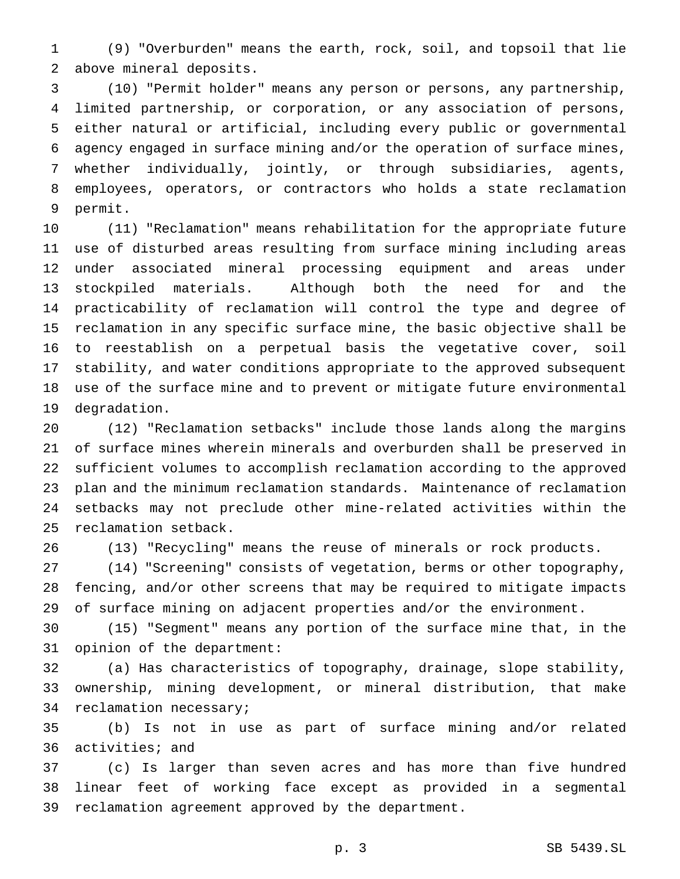(9) "Overburden" means the earth, rock, soil, and topsoil that lie above mineral deposits.

 (10) "Permit holder" means any person or persons, any partnership, limited partnership, or corporation, or any association of persons, either natural or artificial, including every public or governmental agency engaged in surface mining and/or the operation of surface mines, whether individually, jointly, or through subsidiaries, agents, employees, operators, or contractors who holds a state reclamation permit.

 (11) "Reclamation" means rehabilitation for the appropriate future use of disturbed areas resulting from surface mining including areas under associated mineral processing equipment and areas under stockpiled materials. Although both the need for and the practicability of reclamation will control the type and degree of reclamation in any specific surface mine, the basic objective shall be to reestablish on a perpetual basis the vegetative cover, soil stability, and water conditions appropriate to the approved subsequent use of the surface mine and to prevent or mitigate future environmental degradation.

 (12) "Reclamation setbacks" include those lands along the margins of surface mines wherein minerals and overburden shall be preserved in sufficient volumes to accomplish reclamation according to the approved plan and the minimum reclamation standards. Maintenance of reclamation setbacks may not preclude other mine-related activities within the reclamation setback.

(13) "Recycling" means the reuse of minerals or rock products.

 (14) "Screening" consists of vegetation, berms or other topography, fencing, and/or other screens that may be required to mitigate impacts of surface mining on adjacent properties and/or the environment.

 (15) "Segment" means any portion of the surface mine that, in the opinion of the department:

 (a) Has characteristics of topography, drainage, slope stability, ownership, mining development, or mineral distribution, that make reclamation necessary;

 (b) Is not in use as part of surface mining and/or related activities; and

 (c) Is larger than seven acres and has more than five hundred linear feet of working face except as provided in a segmental reclamation agreement approved by the department.